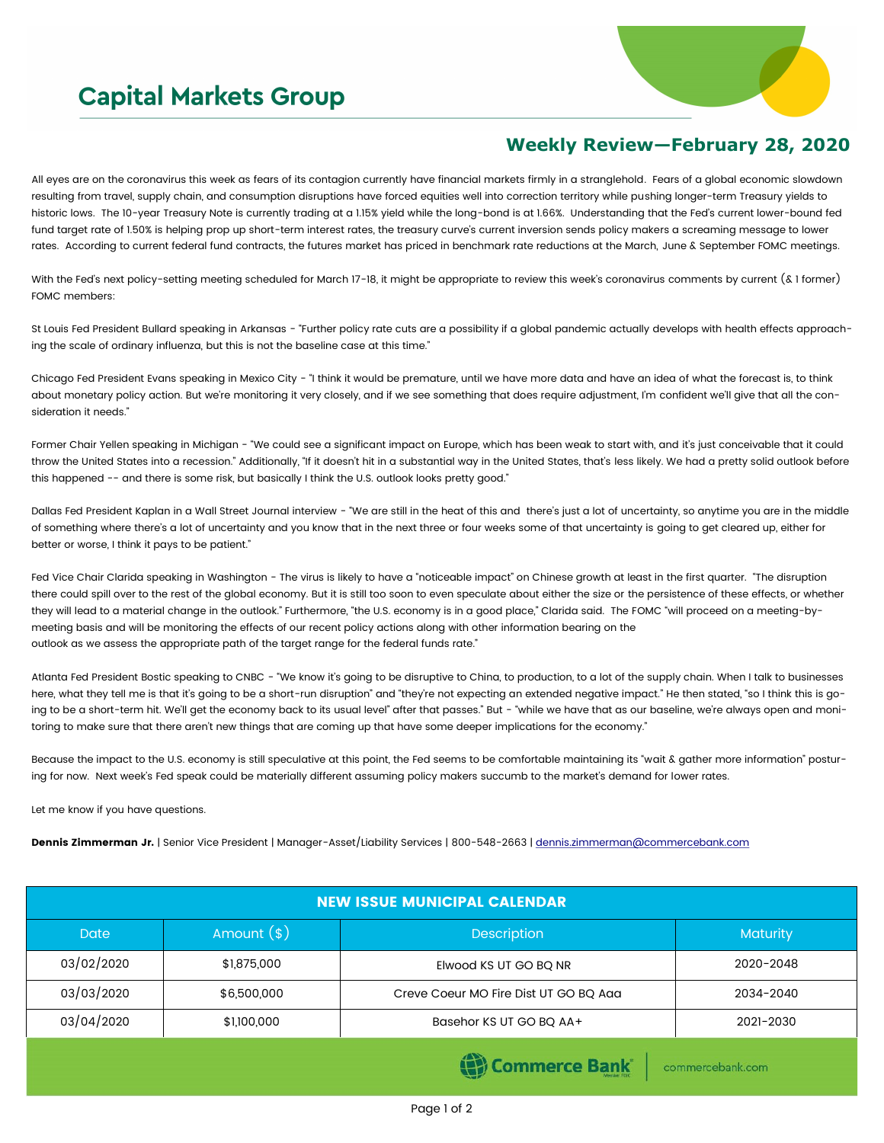## **Capital Markets Group**



## **Weekly Review—February 28, 2020**

All eyes are on the coronavirus this week as fears of its contagion currently have financial markets firmly in a stranglehold. Fears of a global economic slowdown resulting from travel, supply chain, and consumption disruptions have forced equities well into correction territory while pushing longer-term Treasury yields to historic lows. The 10-year Treasury Note is currently trading at a 1.15% yield while the long-bond is at 1.66%. Understanding that the Fed's current lower-bound fed fund target rate of 1.50% is helping prop up short-term interest rates, the treasury curve's current inversion sends policy makers a screaming message to lower rates. According to current federal fund contracts, the futures market has priced in benchmark rate reductions at the March, June & September FOMC meetings.

With the Fed's next policy-setting meeting scheduled for March 17-18, it might be appropriate to review this week's coronavirus comments by current (& 1 former) FOMC members:

St Louis Fed President Bullard speaking in Arkansas - "Further policy rate cuts are a possibility if a global pandemic actually develops with health effects approaching the scale of ordinary influenza, but this is not the baseline case at this time."

Chicago Fed President Evans speaking in Mexico City - "I think it would be premature, until we have more data and have an idea of what the forecast is, to think about monetary policy action. But we're monitoring it very closely, and if we see something that does require adjustment, I'm confident we'll give that all the consideration it needs."

Former Chair Yellen speaking in Michigan - "We could see a significant impact on Europe, which has been weak to start with, and it's just conceivable that it could throw the United States into a recession." Additionally, "If it doesn't hit in a substantial way in the United States, that's less likely. We had a pretty solid outlook before this happened -- and there is some risk, but basically I think the U.S. outlook looks pretty good."

Dallas Fed President Kaplan in a Wall Street Journal interview - "We are still in the heat of this and there's just a lot of uncertainty, so anytime you are in the middle of something where there's a lot of uncertainty and you know that in the next three or four weeks some of that uncertainty is going to get cleared up, either for better or worse, I think it pays to be patient."

Fed Vice Chair Clarida speaking in Washington - The virus is likely to have a "noticeable impact" on Chinese growth at least in the first quarter. "The disruption there could spill over to the rest of the global economy. But it is still too soon to even speculate about either the size or the persistence of these effects, or whether they will lead to a material change in the outlook." Furthermore, "the U.S. economy is in a good place," Clarida said. The FOMC "will proceed on a meeting-bymeeting basis and will be monitoring the effects of our recent policy actions along with other information bearing on the outlook as we assess the appropriate path of the target range for the federal funds rate."

Atlanta Fed President Bostic speaking to CNBC - "We know it's going to be disruptive to China, to production, to a lot of the supply chain. When I talk to businesses here, what they tell me is that it's going to be a short-run disruption" and "they're not expecting an extended negative impact." He then stated, "so I think this is going to be a short-term hit. We'll get the economy back to its usual level" after that passes." But - "while we have that as our baseline, we're always open and monitoring to make sure that there aren't new things that are coming up that have some deeper implications for the economy."

Because the impact to the U.S. economy is still speculative at this point, the Fed seems to be comfortable maintaining its "wait & gather more information" posturing for now. Next week's Fed speak could be materially different assuming policy makers succumb to the market's demand for lower rates.

Let me know if you have questions.

Dennis Zimmerman Jr. | Senior Vice President | Manager-Asset/Liability Services | 800-548-2663 | [dennis.zimmerman@commercebank.com](mailto:Dennis.Zimmerman@commercebank.com)

| <b>NEW ISSUE MUNICIPAL CALENDAR</b> |              |                                       |                 |  |  |  |  |
|-------------------------------------|--------------|---------------------------------------|-----------------|--|--|--|--|
| <b>Date</b>                         | Amount $(*)$ | <b>Description</b>                    | <b>Maturity</b> |  |  |  |  |
| 03/02/2020                          | \$1,875,000  | Elwood KS UT GO BQ NR                 | 2020-2048       |  |  |  |  |
| 03/03/2020                          | \$6,500,000  | Creve Coeur MO Fire Dist UT GO BQ Aaa | 2034-2040       |  |  |  |  |
| 03/04/2020                          | \$1,100,000  | Basehor KS UT GO BQ AA+               | 2021-2030       |  |  |  |  |
|                                     |              |                                       |                 |  |  |  |  |

Commerce Bank

commercebank.com